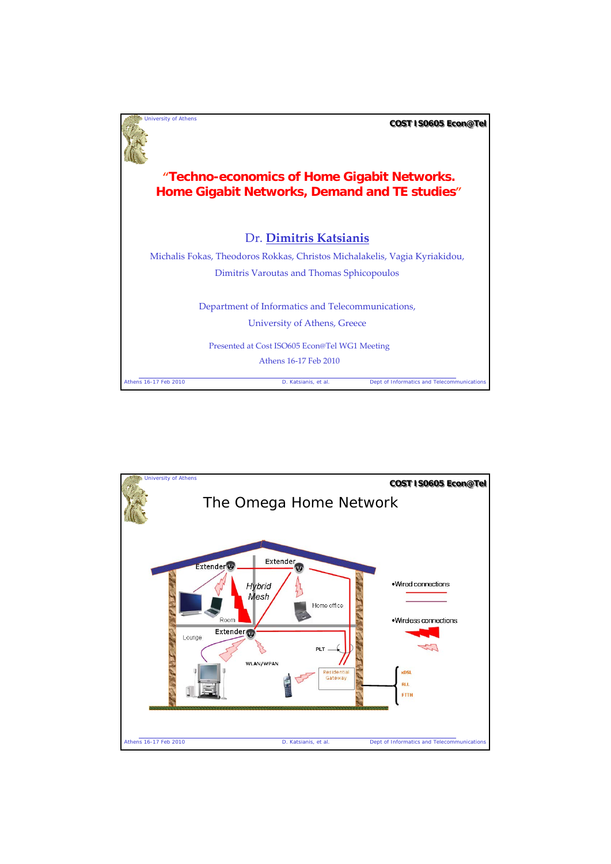

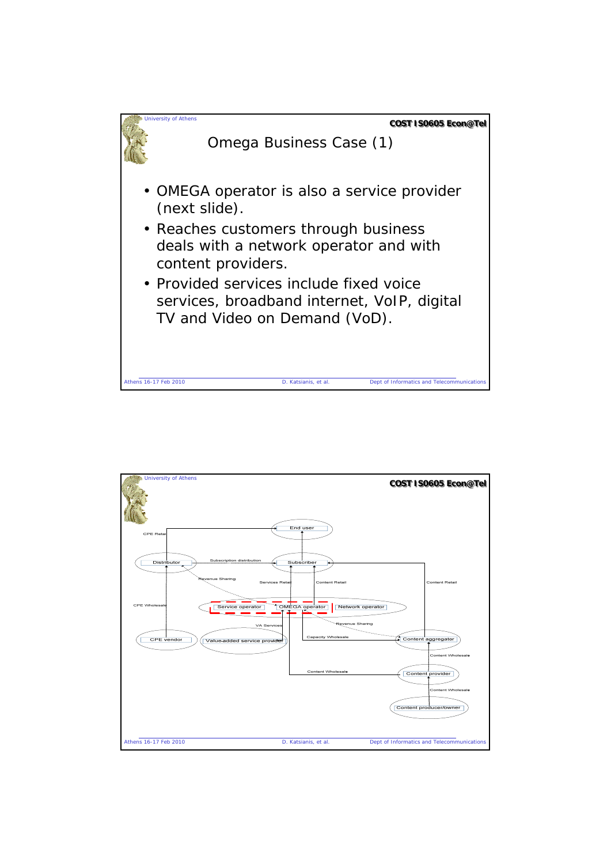

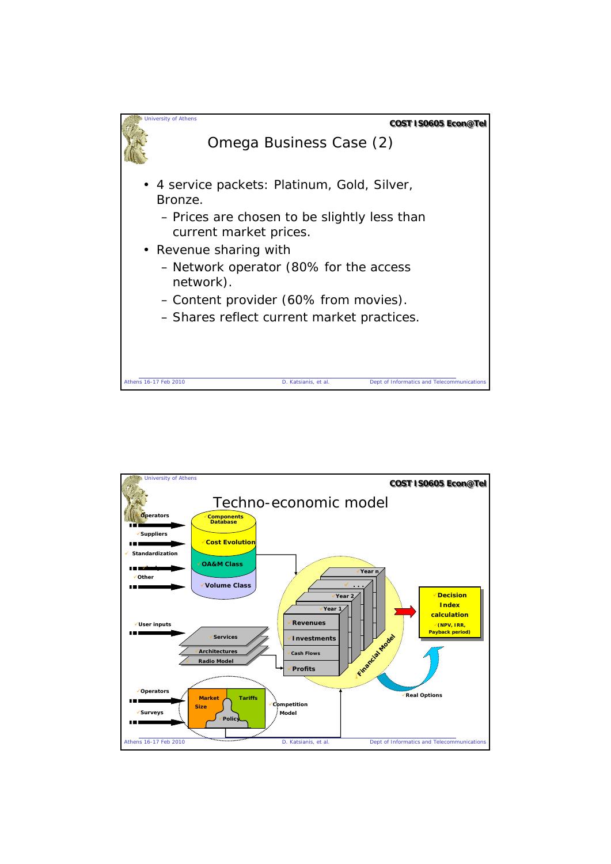

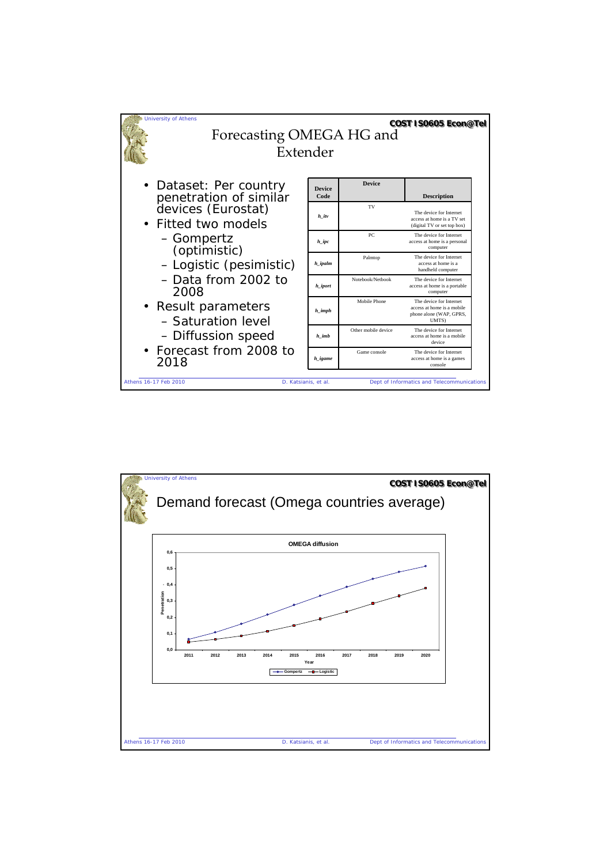

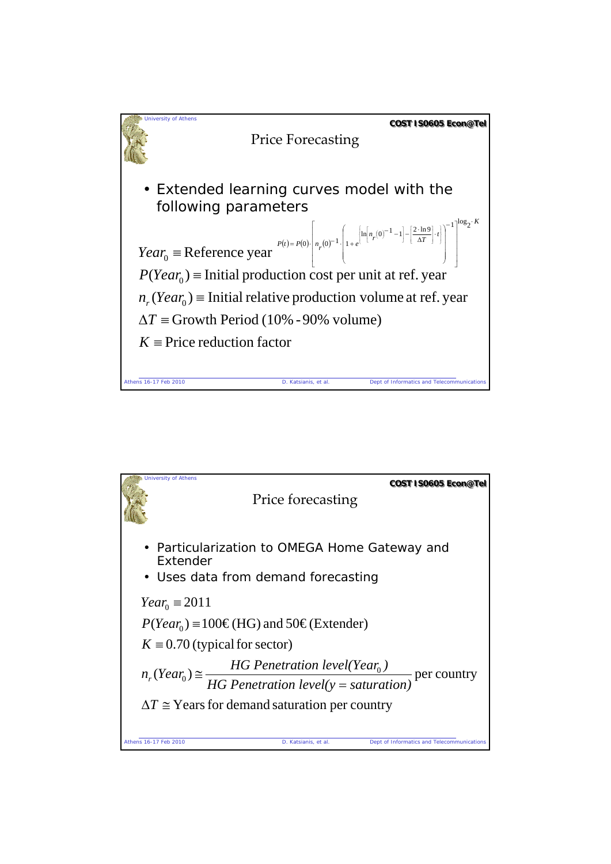

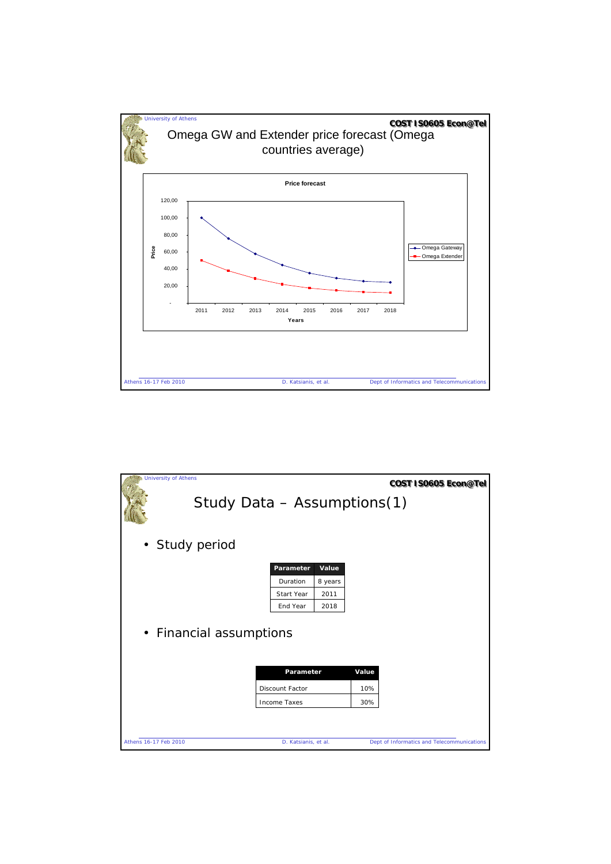

|                         | <b>University of Athens</b> |                             |         |     | COST IS0605 Econ@Tel                       |  |  |  |  |
|-------------------------|-----------------------------|-----------------------------|---------|-----|--------------------------------------------|--|--|--|--|
|                         |                             | Study Data - Assumptions(1) |         |     |                                            |  |  |  |  |
|                         | • Study period              |                             |         |     |                                            |  |  |  |  |
|                         |                             | Parameter                   | Value   |     |                                            |  |  |  |  |
|                         |                             | Duration                    | 8 years |     |                                            |  |  |  |  |
|                         |                             | Start Year                  | 2011    |     |                                            |  |  |  |  |
|                         |                             | End Year                    | 2018    |     |                                            |  |  |  |  |
| • Financial assumptions |                             |                             |         |     |                                            |  |  |  |  |
|                         |                             | Parameter<br>Value          |         |     |                                            |  |  |  |  |
|                         |                             | <b>Discount Factor</b>      |         | 10% |                                            |  |  |  |  |
|                         |                             | <b>Income Taxes</b>         |         | 30% |                                            |  |  |  |  |
|                         |                             |                             |         |     |                                            |  |  |  |  |
|                         | Athens 16-17 Feb 2010       | D. Katsianis, et al.        |         |     | Dept of Informatics and Telecommunications |  |  |  |  |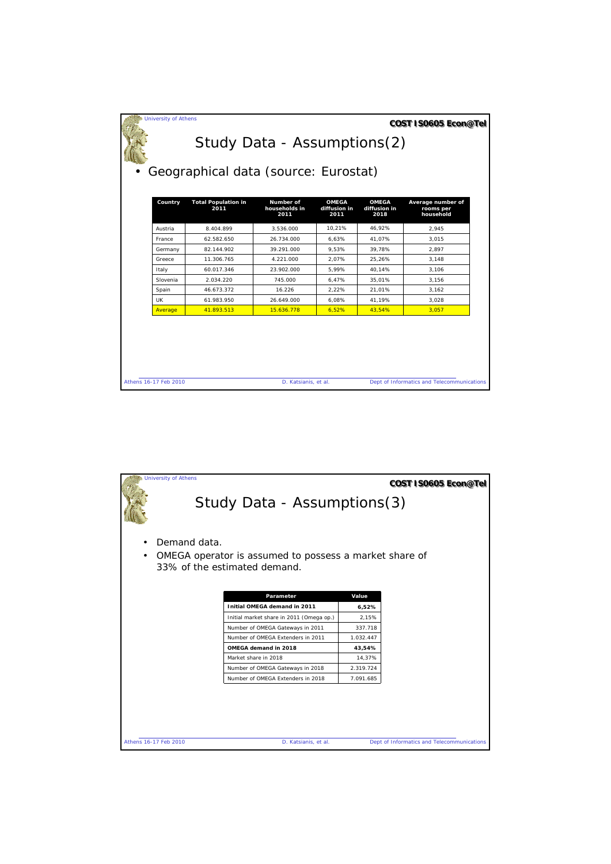| <b>University of Athens</b>          |                                    | Study Data - Assumptions(2)        |                                      |                                      | COST IS0605 Econ@Tel                        |  |  |  |
|--------------------------------------|------------------------------------|------------------------------------|--------------------------------------|--------------------------------------|---------------------------------------------|--|--|--|
| Geographical data (source: Eurostat) |                                    |                                    |                                      |                                      |                                             |  |  |  |
| Country                              | <b>Total Population in</b><br>2011 | Number of<br>households in<br>2011 | <b>OMEGA</b><br>diffusion in<br>2011 | <b>OMEGA</b><br>diffusion in<br>2018 | Average number of<br>rooms per<br>household |  |  |  |
| Austria                              | 8.404.899                          | 3.536.000                          | 10.21%                               | 46.92%                               | 2.945                                       |  |  |  |
| France                               | 62.582.650                         | 26.734.000                         | 6.63%                                | 41.07%                               | 3.015                                       |  |  |  |
| 82.144.902<br>Germany                |                                    | 39.291.000<br>9.53%                | 39.78%                               | 2.897                                |                                             |  |  |  |
| Greece                               | 11.306.765                         | 4.221.000                          | 2.07%                                | 25.26%                               | 3.148                                       |  |  |  |
| Italy                                | 60.017.346                         | 23.902.000                         | 5.99%                                | 40.14%                               | 3.106                                       |  |  |  |
| Slovenia                             | 2.034.220                          | 745.000                            | 6.47%                                | 35.01%                               | 3.156                                       |  |  |  |
| Spain                                | 46.673.372                         | 16.226                             | 2.22%                                | 21.01%                               | 3.162                                       |  |  |  |
| <b>UK</b>                            | 61.983.950                         | 26.649.000                         | 6.08%                                | 41.19%                               | 3.028                                       |  |  |  |
| Average                              | 41.893.513                         | 15.636.778                         | 6,52%                                | 43.54%                               | 3.057                                       |  |  |  |
|                                      |                                    |                                    |                                      |                                      |                                             |  |  |  |
| Athens 16-17 Feb 2010                |                                    | D. Katsianis, et al.               |                                      |                                      | Dept of Informatics and Telecommunications  |  |  |  |

|                                                                                                     | <b>University of Athens</b> |                                                   |           | COST IS0605 Econ@Tel                       |  |  |  |  |  |
|-----------------------------------------------------------------------------------------------------|-----------------------------|---------------------------------------------------|-----------|--------------------------------------------|--|--|--|--|--|
|                                                                                                     | Study Data - Assumptions(3) |                                                   |           |                                            |  |  |  |  |  |
|                                                                                                     | Demand data.                |                                                   |           |                                            |  |  |  |  |  |
| OMEGA operator is assumed to possess a market share of<br>$\bullet$<br>33% of the estimated demand. |                             |                                                   |           |                                            |  |  |  |  |  |
|                                                                                                     |                             |                                                   |           |                                            |  |  |  |  |  |
|                                                                                                     | Value<br>Parameter          |                                                   |           |                                            |  |  |  |  |  |
|                                                                                                     |                             | Initial OMEGA demand in 2011<br>6,52%             |           |                                            |  |  |  |  |  |
|                                                                                                     |                             | Initial market share in 2011 (Omega op.)<br>2,15% |           |                                            |  |  |  |  |  |
|                                                                                                     |                             | Number of OMEGA Gateways in 2011<br>337.718       |           |                                            |  |  |  |  |  |
|                                                                                                     |                             | Number of OMFGA Extenders in 2011                 | 1.032.447 |                                            |  |  |  |  |  |
|                                                                                                     |                             | OMEGA demand in 2018                              | 43,54%    |                                            |  |  |  |  |  |
|                                                                                                     |                             | Market share in 2018                              | 14,37%    |                                            |  |  |  |  |  |
|                                                                                                     |                             | Number of OMEGA Gateways in 2018                  | 2.319.724 |                                            |  |  |  |  |  |
|                                                                                                     |                             | Number of OMEGA Extenders in 2018                 | 7.091.685 |                                            |  |  |  |  |  |
|                                                                                                     |                             |                                                   |           |                                            |  |  |  |  |  |
|                                                                                                     |                             |                                                   |           |                                            |  |  |  |  |  |
|                                                                                                     |                             |                                                   |           |                                            |  |  |  |  |  |
|                                                                                                     |                             |                                                   |           |                                            |  |  |  |  |  |
| Athens 16-17 Feb 2010                                                                               |                             | D. Katsianis, et al.                              |           | Dept of Informatics and Telecommunications |  |  |  |  |  |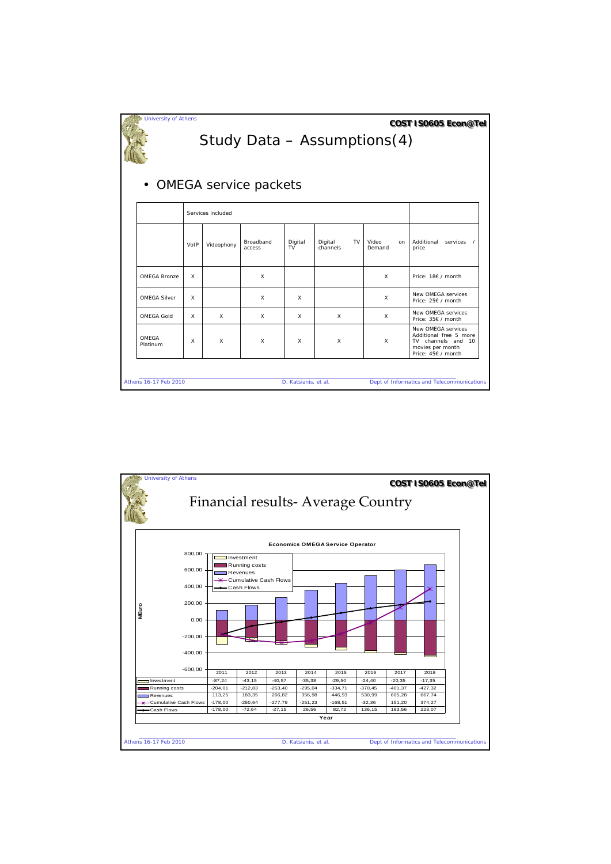| <b>University of Athens</b><br>COST IS0605 Econ@Tel<br>Study Data - Assumptions(4) |      |                   |                     |                      |                     |           |                 |                                                                                                              |
|------------------------------------------------------------------------------------|------|-------------------|---------------------|----------------------|---------------------|-----------|-----------------|--------------------------------------------------------------------------------------------------------------|
| • OMEGA service packets                                                            |      |                   |                     |                      |                     |           |                 |                                                                                                              |
|                                                                                    |      | Services included |                     |                      |                     |           |                 |                                                                                                              |
|                                                                                    | VoIP | Videophony        | Broadband<br>access | Digital<br>TV        | Digital<br>channels | <b>TV</b> | Video<br>Demand | Additional<br>services<br><sub>on</sub><br>price                                                             |
| OMEGA Bronze                                                                       | X    |                   | X                   |                      |                     |           | X               | Price: 18€ / month                                                                                           |
| <b>OMEGA Silver</b>                                                                | X    |                   | $\times$            | x                    |                     |           | X               | New OMFGA services<br>Price: 25€ / month                                                                     |
| <b>OMEGA Gold</b>                                                                  | X    | X                 | X                   | x                    | X                   |           | X               | New OMEGA services<br>Price: 35€ / month                                                                     |
| OMFGA<br>Platinum                                                                  | X    | X                 | $\times$            | X                    | X                   |           | X               | New OMEGA services<br>Additional free 5 more<br>TV channels and 10<br>movies per month<br>Price: 45€ / month |
| Athens 16-17 Feb 2010                                                              |      |                   |                     | D. Katsianis, et al. |                     |           |                 | Dept of Informatics and Telecommunications                                                                   |

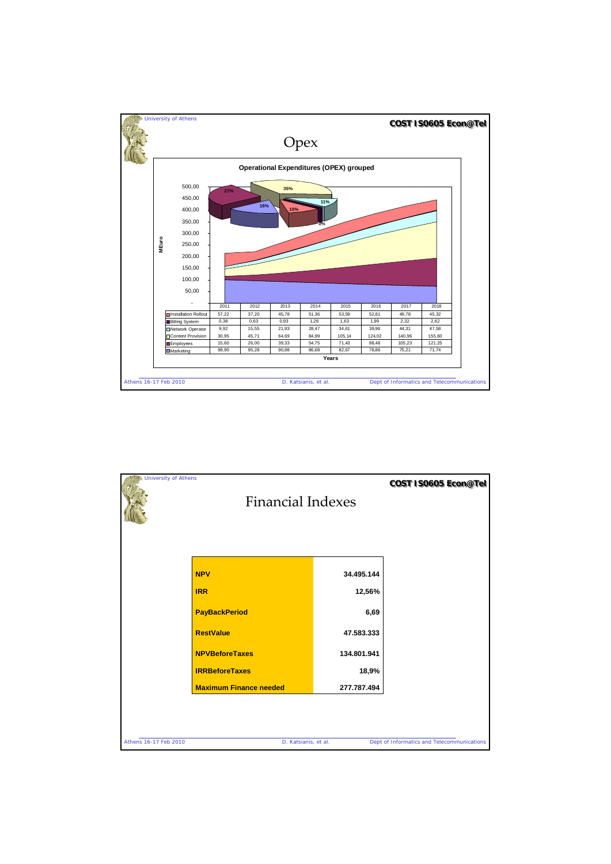